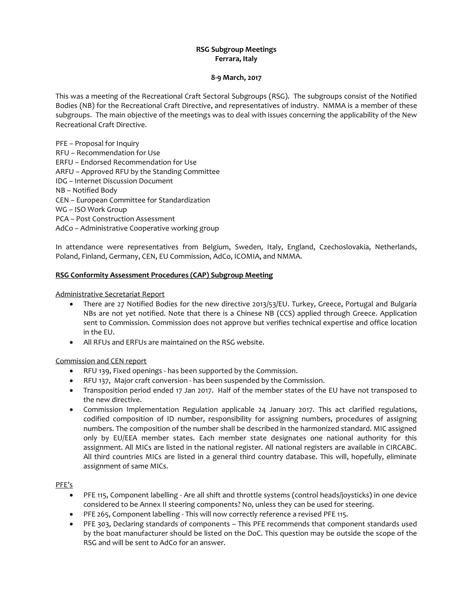# **RSG Subgroup Meetings Ferrara, Italy**

#### **8-9 March, 2017**

This was a meeting of the Recreational Craft Sectoral Subgroups (RSG). The subgroups consist of the Notified Bodies (NB) for the Recreational Craft Directive, and representatives of industry. NMMA is a member of these subgroups. The main objective of the meetings was to deal with issues concerning the applicability of the New Recreational Craft Directive.

PFE – Proposal for Inquiry RFU – Recommendation for Use ERFU – Endorsed Recommendation for Use ARFU – Approved RFU by the Standing Committee IDG – Internet Discussion Document NB – Notified Body CEN – European Committee for Standardization WG – ISO Work Group PCA – Post Construction Assessment AdCo – Administrative Cooperative working group

In attendance were representatives from Belgium, Sweden, Italy, England, Czechoslovakia, Netherlands, Poland, Finland, Germany, CEN, EU Commission, AdCo, ICOMIA, and NMMA.

#### **RSG Conformity Assessment Procedures (CAP) Subgroup Meeting**

Administrative Secretariat Report

- There are 27 Notified Bodies for the new directive 2013/53/EU. Turkey, Greece, Portugal and Bulgaria NBs are not yet notified. Note that there is a Chinese NB (CCS) applied through Greece. Application sent to Commission. Commission does not approve but verifies technical expertise and office location in the EU.
- All RFUs and ERFUs are maintained on the RSG website.

## Commission and CEN report

- RFU 139, Fixed openings has been supported by the Commission.
- RFU 137, Major craft conversion has been suspended by the Commission.
- Transposition period ended 17 Jan 2017. Half of the member states of the EU have not transposed to the new directive.
- Commission Implementation Regulation applicable 24 January 2017. This act clarified regulations, codified composition of ID number, responsibility for assigning numbers, procedures of assigning numbers. The composition of the number shall be described in the harmonized standard. MIC assigned only by EU/EEA member states. Each member state designates one national authority for this assignment. All MICs are listed in the national register. All national registers are available in CIRCABC. All third countries MICs are listed in a general third country database. This will, hopefully, eliminate assignment of same MICs.

#### PFE's

- PFE 115, Component labelling Are all shift and throttle systems (control heads/joysticks) in one device considered to be Annex II steering components? No, unless they can be used for steering.
- PFE 265, Component labelling This will now correctly reference a revised PFE 115.
- PFE 303, Declaring standards of components This PFE recommends that component standards used by the boat manufacturer should be listed on the DoC. This question may be outside the scope of the RSG and will be sent to AdCo for an answer.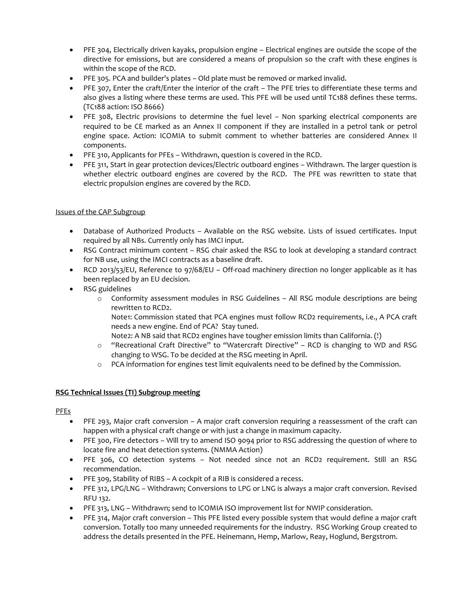- PFE 304, Electrically driven kayaks, propulsion engine Electrical engines are outside the scope of the directive for emissions, but are considered a means of propulsion so the craft with these engines is within the scope of the RCD.
- PFE 305. PCA and builder's plates Old plate must be removed or marked invalid.
- PFE 307, Enter the craft/Enter the interior of the craft The PFE tries to differentiate these terms and also gives a listing where these terms are used. This PFE will be used until TC188 defines these terms. (TC188 action: ISO 8666)
- PFE 308, Electric provisions to determine the fuel level Non sparking electrical components are required to be CE marked as an Annex II component if they are installed in a petrol tank or petrol engine space. Action: ICOMIA to submit comment to whether batteries are considered Annex II components.
- PFE 310, Applicants for PFEs Withdrawn, question is covered in the RCD.
- PFE 311, Start in gear protection devices/Electric outboard engines Withdrawn. The larger question is whether electric outboard engines are covered by the RCD. The PFE was rewritten to state that electric propulsion engines are covered by the RCD.

## Issues of the CAP Subgroup

- Database of Authorized Products Available on the RSG website. Lists of issued certificates. Input required by all NBs. Currently only has IMCI input.
- RSG Contract minimum content RSG chair asked the RSG to look at developing a standard contract for NB use, using the IMCI contracts as a baseline draft.
- RCD 2013/53/EU, Reference to 97/68/EU Off-road machinery direction no longer applicable as it has been replaced by an EU decision.
- RSG guidelines
	- o Conformity assessment modules in RSG Guidelines All RSG module descriptions are being rewritten to RCD2.
		- Note1: Commission stated that PCA engines must follow RCD2 requirements, i.e., A PCA craft needs a new engine. End of PCA? Stay tuned.
		- Note2: A NB said that RCD2 engines have tougher emission limits than California. (!)
	- o "Recreational Craft Directive" to "Watercraft Directive" RCD is changing to WD and RSG changing to WSG. To be decided at the RSG meeting in April.
	- o PCA information for engines test limit equivalents need to be defined by the Commission.

## **RSG Technical Issues (TI) Subgroup meeting**

## PFEs

- PFE 293, Major craft conversion A major craft conversion requiring a reassessment of the craft can happen with a physical craft change or with just a change in maximum capacity.
- PFE 300, Fire detectors Will try to amend ISO 9094 prior to RSG addressing the question of where to locate fire and heat detection systems. (NMMA Action)
- PFE 306, CO detection systems Not needed since not an RCD2 requirement. Still an RSG recommendation.
- PFE 309, Stability of RIBS A cockpit of a RIB is considered a recess.
- PFE 312, LPG/LNG Withdrawn; Conversions to LPG or LNG is always a major craft conversion. Revised RFU 132.
- PFE 313, LNG Withdrawn; send to ICOMIA ISO improvement list for NWIP consideration.
- PFE 314, Major craft conversion This PFE listed every possible system that would define a major craft conversion. Totally too many unneeded requirements for the industry. RSG Working Group created to address the details presented in the PFE. Heinemann, Hemp, Marlow, Reay, Hoglund, Bergstrom.